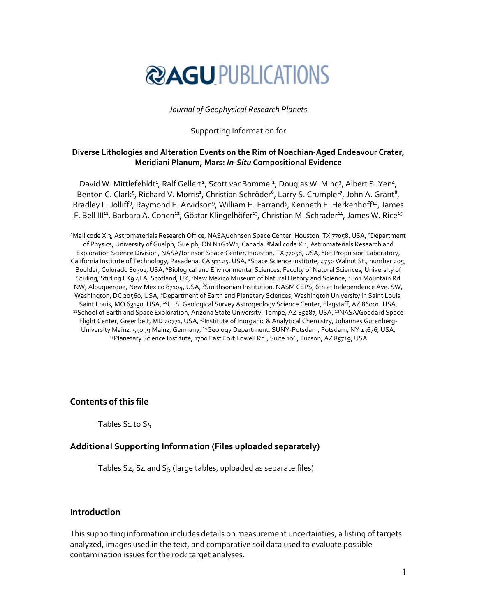

### *Journal of Geophysical Research Planets*

### Supporting Information for

## **Diverse Lithologies and Alteration Events on the Rim of Noachian‐Aged Endeavour Crater, Meridiani Planum, Mars:** *In‐Situ* **Compositional Evidence**

David W. Mittlefehldt<sup>1</sup>, Ralf Gellert<sup>2</sup>, Scott vanBommel<sup>2</sup>, Douglas W. Ming<sup>3</sup>, Albert S. Yen<sup>4</sup>, Benton C. Clark<sup>5</sup>, Richard V. Morris<sup>1</sup>, Christian Schröder<sup>6</sup>, Larry S. Crumpler<sup>7</sup>, John A. Grant<sup>8</sup>, Bradley L. Jolliff<sup>9</sup>, Raymond E. Arvidson<sup>9</sup>, William H. Farrand<sup>5</sup>, Kenneth E. Herkenhoff<sup>10</sup>, James F. Bell III<sup>11</sup>, Barbara A. Cohen<sup>12</sup>, Göstar Klingelhöfer<sup>13</sup>, Christian M. Schrader<sup>14</sup>, James W. Rice<sup>15</sup>

1 Mail code XI3, Astromaterials Research Office, NASA/Johnson Space Center, Houston, TX 77058, USA, 2Department of Physics, University of Guelph, Guelph, ON N1G2W1, Canada, <sup>3</sup> Mail code XI1, Astromaterials Research and Exploration Science Division, NASA/Johnson Space Center, Houston, TX 77058, USA, 4Jet Propulsion Laboratory, California Institute of Technology, Pasadena, CA 91125, USA, <sup>5</sup>Space Science Institute, 4750 Walnut St., number 205, Boulder, Colorado 80301, USA, <sup>6</sup>Biological and Environmental Sciences, Faculty of Natural Sciences, University of Stirling, Stirling FK9 4LA, Scotland, UK, <sup>7</sup> New Mexico Museum of Natural History and Science, 1801 Mountain Rd NW, Albuquerque, New Mexico 87104, USA, <sup>8</sup>Smithsonian Institution, NASM CEPS, 6th at Independence Ave. SW, Washington, DC 20560, USA, 9Department of Earth and Planetary Sciences, Washington University in Saint Louis, Saint Louis, MO 63130, USA, <sup>10</sup>U. S. Geological Survey Astrogeology Science Center, Flagstaff, AZ 86001, USA, 11School of Earth and Space Exploration, Arizona State University, Tempe, AZ 85287, USA, <sup>12</sup>NASA/Goddard Space Flight Center, Greenbelt, MD 20771, USA, <sup>13</sup>Institute of Inorganic & Analytical Chemistry, Johannes Gutenberg-University Mainz, 55099 Mainz, Germany, 14Geology Department, SUNY‐Potsdam, Potsdam, NY 13676, USA, <sup>15</sup>Planetary Science Institute, 1700 East Fort Lowell Rd., Suite 106, Tucson, AZ 85719, USA

**Contents of this file** 

Tables S1 to S5

# **Additional Supporting Information (Files uploaded separately)**

Tables S2, S4 and S5 (large tables, uploaded as separate files)

## **Introduction**

This supporting information includes details on measurement uncertainties, a listing of targets analyzed, images used in the text, and comparative soil data used to evaluate possible contamination issues for the rock target analyses.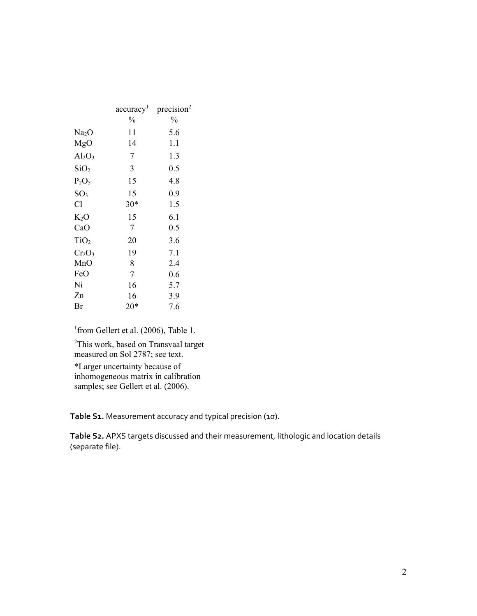|                   | $\mathrm{accuracy}^1$ | precision <sup>2</sup> |  |
|-------------------|-----------------------|------------------------|--|
|                   | $\%$                  | $\frac{0}{0}$          |  |
| Na <sub>2</sub> O | 11                    | 5.6                    |  |
| MgO               | 14                    | 1.1                    |  |
| $Al_2O_3$         | 7                     | 1.3                    |  |
| SiO <sub>2</sub>  | 3                     | 0.5                    |  |
| $P_2O_5$          | 15                    | 4.8                    |  |
| SO <sub>3</sub>   | 15                    | 0.9                    |  |
| Cl                | $30*$                 | 1.5                    |  |
| $K_2O$            | 15                    | 6.1                    |  |
| CaO               | 7                     | 0.5                    |  |
| TiO <sub>2</sub>  | 20                    | 3.6                    |  |
| $Cr_2O_3$         | 19                    | 7.1                    |  |
| MnO               | 8                     | 2.4                    |  |
| FeO               | 7                     | 0.6                    |  |
| Ni                | 16                    | 5.7                    |  |
| Zn                | 16                    | 3.9                    |  |
| Br                | 20*                   | 7.6                    |  |

<sup>1</sup> from Gellert et al. (2006), Table 1.

<sup>2</sup>This work, based on Transvaal target measured on Sol 2787; see text.

\*Larger uncertainty because of inhomogeneous matrix in calibration samples; see Gellert et al. (2006).

**Table S1.** Measurement accuracy and typical precision (1σ).

**Table S2.** APXS targets discussed and their measurement, lithologic and location details (separate file).